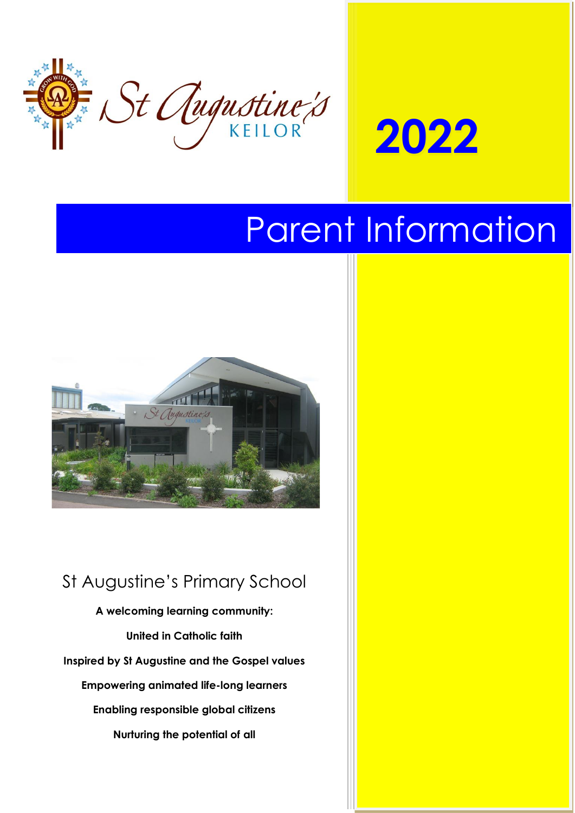



# Parent Information



# St Augustine's Primary School

**A welcoming learning community: United in Catholic faith Inspired by St Augustine and the Gospel values Empowering animated life-long learners Enabling responsible global citizens Nurturing the potential of all**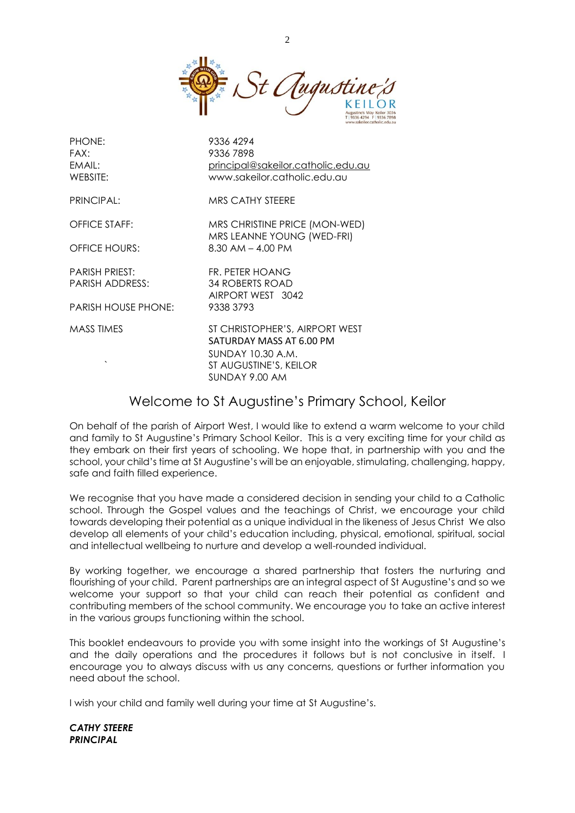

| <b>PHONE:</b>        | 9336 4294                                                                                          |
|----------------------|----------------------------------------------------------------------------------------------------|
| FAX:                 | 93367898                                                                                           |
| EMAIL:               | principal@sakeilor.catholic.edu.au                                                                 |
| WEBSITE:             | www.sakeilor.catholic.edu.au                                                                       |
| PRINCIPAL:           | MRS CATHY STEERE                                                                                   |
| OFFICE STAFF:        | MRS CHRISTINE PRICE (MON-WED)                                                                      |
|                      | MRS LEANNE YOUNG (WED-FRI)                                                                         |
| <b>OFFICE HOURS:</b> | $8.30$ AM $-$ 4.00 PM                                                                              |
| PARISH PRIEST:       | FR. PETER HOANG                                                                                    |
| PARISH ADDRESS:      | <b>34 ROBERTS ROAD</b>                                                                             |
|                      | AIRPORT WEST 3042                                                                                  |
| PARISH HOUSE PHONE:  | 9338 3793                                                                                          |
| MASS TIMES           | ST CHRISTOPHER'S, AIRPORT WEST                                                                     |
|                      | SATURDAY MASS AT 6.00 PM                                                                           |
|                      | SUNDAY 10.30 A.M.                                                                                  |
|                      | ST AUGUSTINE'S, KEILOR                                                                             |
|                      | SUNDAY 9.00 AM                                                                                     |
|                      | $M_{\rm{H}}$ . The set of $\sim$ 1.1 $\sim$ 1.1 $\sim$ 1.1 $\sim$ 1.1 $\sim$ 1.1 $\sim$ 1.1 $\sim$ |

# Welcome to St Augustine's Primary School, Keilor

On behalf of the parish of Airport West, I would like to extend a warm welcome to your child and family to St Augustine's Primary School Keilor. This is a very exciting time for your child as they embark on their first years of schooling. We hope that, in partnership with you and the school, your child's time at St Augustine's will be an enjoyable, stimulating, challenging, happy, safe and faith filled experience.

We recognise that you have made a considered decision in sending your child to a Catholic school. Through the Gospel values and the teachings of Christ, we encourage your child towards developing their potential as a unique individual in the likeness of Jesus Christ We also develop all elements of your child's education including, physical, emotional, spiritual, social and intellectual wellbeing to nurture and develop a well-rounded individual.

By working together, we encourage a shared partnership that fosters the nurturing and flourishing of your child. Parent partnerships are an integral aspect of St Augustine's and so we welcome your support so that your child can reach their potential as confident and contributing members of the school community. We encourage you to take an active interest in the various groups functioning within the school.

This booklet endeavours to provide you with some insight into the workings of St Augustine's and the daily operations and the procedures it follows but is not conclusive in itself. I encourage you to always discuss with us any concerns, questions or further information you need about the school.

I wish your child and family well during your time at St Augustine's.

*CATHY STEERE PRINCIPAL*

 $\mathcal{D}$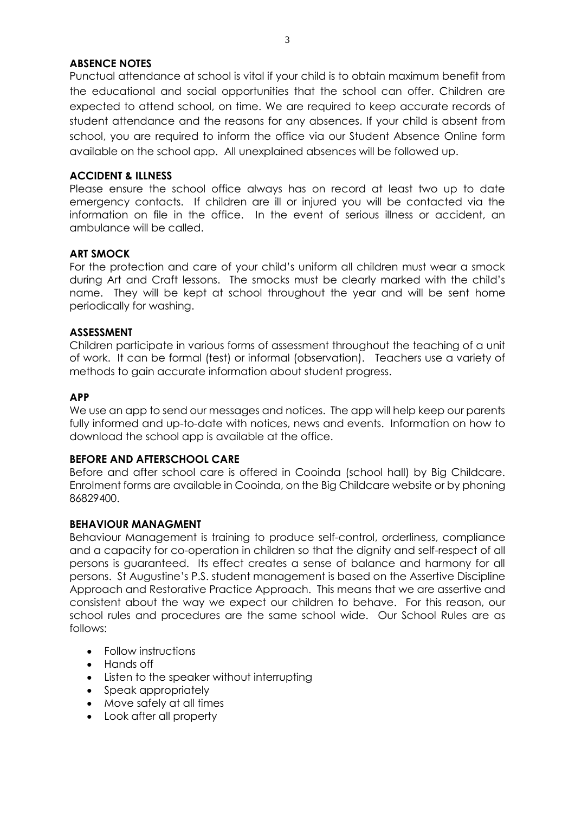# **ABSENCE NOTES**

Punctual attendance at school is vital if your child is to obtain maximum benefit from the educational and social opportunities that the school can offer. Children are expected to attend school, on time. We are required to keep accurate records of student attendance and the reasons for any absences. If your child is absent from school, you are required to inform the office via our Student Absence Online form available on the school app. All unexplained absences will be followed up.

#### **ACCIDENT & ILLNESS**

Please ensure the school office always has on record at least two up to date emergency contacts. If children are ill or injured you will be contacted via the information on file in the office. In the event of serious illness or accident, an ambulance will be called.

#### **ART SMOCK**

For the protection and care of your child's uniform all children must wear a smock during Art and Craft lessons. The smocks must be clearly marked with the child's name. They will be kept at school throughout the year and will be sent home periodically for washing.

#### **ASSESSMENT**

Children participate in various forms of assessment throughout the teaching of a unit of work. It can be formal (test) or informal (observation). Teachers use a variety of methods to gain accurate information about student progress.

#### **APP**

We use an app to send our messages and notices. The app will help keep our parents fully informed and up-to-date with notices, news and events. Information on how to download the school app is available at the office.

#### **BEFORE AND AFTERSCHOOL CARE**

Before and after school care is offered in Cooinda (school hall) by Big Childcare. Enrolment forms are available in Cooinda, on the Big Childcare website or by phoning 86829400.

#### **BEHAVIOUR MANAGMENT**

Behaviour Management is training to produce self-control, orderliness, compliance and a capacity for co-operation in children so that the dignity and self-respect of all persons is guaranteed. Its effect creates a sense of balance and harmony for all persons. St Augustine's P.S. student management is based on the Assertive Discipline Approach and Restorative Practice Approach. This means that we are assertive and consistent about the way we expect our children to behave. For this reason, our school rules and procedures are the same school wide. Our School Rules are as follows:

- Follow instructions
- Hands off
- Listen to the speaker without interrupting
- Speak appropriately
- Move safely at all times
- Look after all property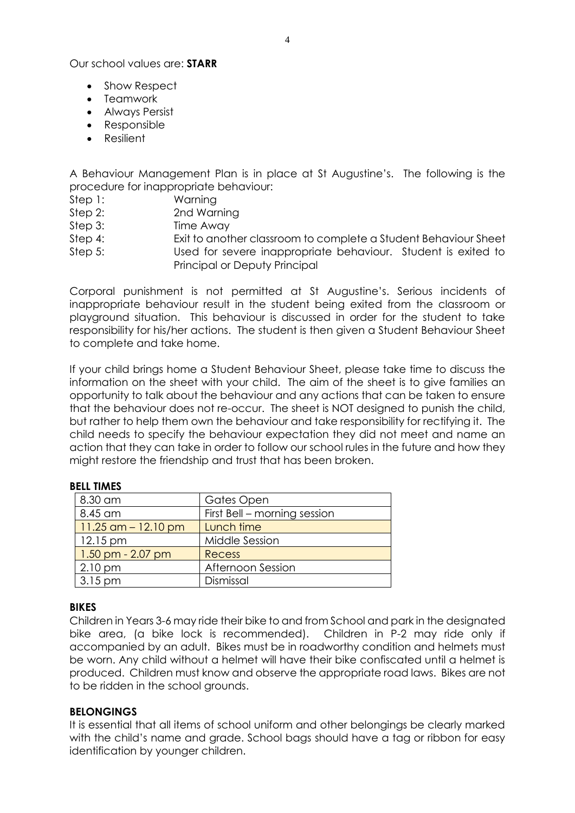Our school values are: **STARR**

- Show Respect
- Teamwork
- Always Persist
- Responsible
- Resilient

A Behaviour Management Plan is in place at St Augustine's. The following is the procedure for inappropriate behaviour:

- Step 1: Warning
- Step 2: 2nd Warning
- Step 3: Time Away
- Step 4: Exit to another classroom to complete a Student Behaviour Sheet
- Step 5: Used for severe inappropriate behaviour. Student is exited to Principal or Deputy Principal

Corporal punishment is not permitted at St Augustine's. Serious incidents of inappropriate behaviour result in the student being exited from the classroom or playground situation. This behaviour is discussed in order for the student to take responsibility for his/her actions. The student is then given a Student Behaviour Sheet to complete and take home.

If your child brings home a Student Behaviour Sheet, please take time to discuss the information on the sheet with your child. The aim of the sheet is to give families an opportunity to talk about the behaviour and any actions that can be taken to ensure that the behaviour does not re-occur. The sheet is NOT designed to punish the child, but rather to help them own the behaviour and take responsibility for rectifying it. The child needs to specify the behaviour expectation they did not meet and name an action that they can take in order to follow our school rules in the future and how they might restore the friendship and trust that has been broken.

# **BELL TIMES**

| 8.30 am                | Gates Open                   |
|------------------------|------------------------------|
| 8.45 am                | First Bell - morning session |
| $11.25$ am $-12.10$ pm | Lunch time                   |
| $12.15 \,\mathrm{pm}$  | Middle Session               |
| $1.50$ pm - 2.07 pm    | <b>Recess</b>                |
| $2.10 \text{ pm}$      | Afternoon Session            |
| $3.15 \,\mathrm{pm}$   | Dismissal                    |

#### **BIKES**

Children in Years 3-6 may ride their bike to and from School and park in the designated bike area, (a bike lock is recommended). Children in P-2 may ride only if accompanied by an adult. Bikes must be in roadworthy condition and helmets must be worn. Any child without a helmet will have their bike confiscated until a helmet is produced. Children must know and observe the appropriate road laws. Bikes are not to be ridden in the school grounds.

#### **BELONGINGS**

It is essential that all items of school uniform and other belongings be clearly marked with the child's name and grade. School bags should have a tag or ribbon for easy identification by younger children.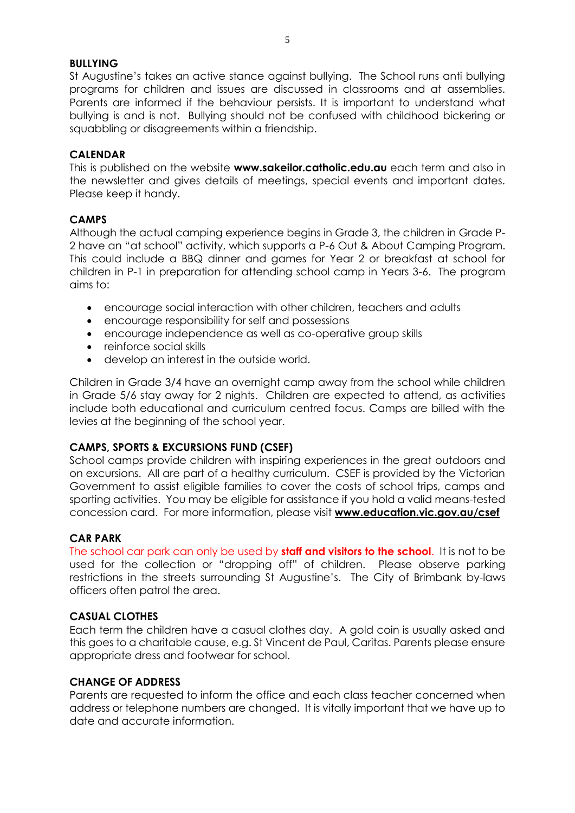#### **BULLYING**

St Augustine's takes an active stance against bullying. The School runs anti bullying programs for children and issues are discussed in classrooms and at assemblies. Parents are informed if the behaviour persists. It is important to understand what bullying is and is not. Bullying should not be confused with childhood bickering or squabbling or disagreements within a friendship.

### **CALENDAR**

This is published on the website **www.sakeilor.catholic.edu.au** each term and also in the newsletter and gives details of meetings, special events and important dates. Please keep it handy.

# **CAMPS**

Although the actual camping experience begins in Grade 3, the children in Grade P-2 have an "at school" activity, which supports a P-6 Out & About Camping Program. This could include a BBQ dinner and games for Year 2 or breakfast at school for children in P-1 in preparation for attending school camp in Years 3-6. The program aims to:

- encourage social interaction with other children, teachers and adults
- encourage responsibility for self and possessions
- encourage independence as well as co-operative group skills
- reinforce social skills
- develop an interest in the outside world.

Children in Grade 3/4 have an overnight camp away from the school while children in Grade 5/6 stay away for 2 nights. Children are expected to attend, as activities include both educational and curriculum centred focus. Camps are billed with the levies at the beginning of the school year.

# **CAMPS, SPORTS & EXCURSIONS FUND (CSEF)**

School camps provide children with inspiring experiences in the great outdoors and on excursions. All are part of a healthy curriculum. CSEF is provided by the Victorian Government to assist eligible families to cover the costs of school trips, camps and sporting activities. You may be eligible for assistance if you hold a valid means-tested concession card. For more information, please visit **www.education.vic.gov.au/csef**

# **CAR PARK**

The school car park can only be used by **staff and visitors to the school**. It is not to be used for the collection or "dropping off" of children. Please observe parking restrictions in the streets surrounding St Augustine's. The City of Brimbank by-laws officers often patrol the area.

# **CASUAL CLOTHES**

Each term the children have a casual clothes day. A gold coin is usually asked and this goes to a charitable cause, e.g. St Vincent de Paul, Caritas. Parents please ensure appropriate dress and footwear for school.

### **CHANGE OF ADDRESS**

Parents are requested to inform the office and each class teacher concerned when address or telephone numbers are changed. It is vitally important that we have up to date and accurate information.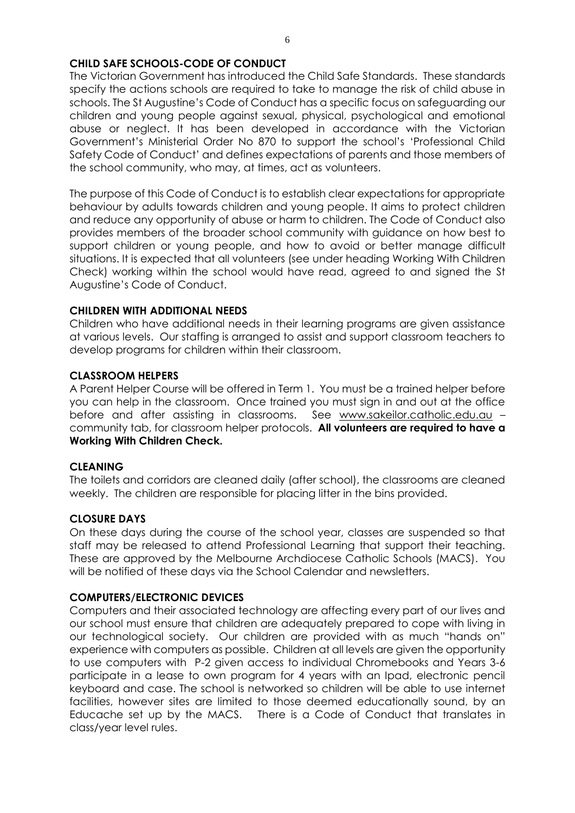# **CHILD SAFE SCHOOLS-CODE OF CONDUCT**

The Victorian Government has introduced the Child Safe Standards. These standards specify the actions schools are required to take to manage the risk of child abuse in schools. The St Augustine's Code of Conduct has a specific focus on safeguarding our children and young people against sexual, physical, psychological and emotional abuse or neglect. It has been developed in accordance with the Victorian Government's Ministerial Order No 870 to support the school's 'Professional Child Safety Code of Conduct' and defines expectations of parents and those members of the school community, who may, at times, act as volunteers.

The purpose of this Code of Conduct is to establish clear expectations for appropriate behaviour by adults towards children and young people. It aims to protect children and reduce any opportunity of abuse or harm to children. The Code of Conduct also provides members of the broader school community with guidance on how best to support children or young people, and how to avoid or better manage difficult situations. It is expected that all volunteers (see under heading Working With Children Check) working within the school would have read, agreed to and signed the St Augustine's Code of Conduct.

# **CHILDREN WITH ADDITIONAL NEEDS**

Children who have additional needs in their learning programs are given assistance at various levels. Our staffing is arranged to assist and support classroom teachers to develop programs for children within their classroom.

#### **CLASSROOM HELPERS**

A Parent Helper Course will be offered in Term 1. You must be a trained helper before you can help in the classroom. Once trained you must sign in and out at the office before and after assisting in classrooms. See [www.sakeilor.catholic.edu.au](http://www.sakeilor.catholic.edu.au/) community tab, for classroom helper protocols. **All volunteers are required to have a Working With Children Check.**

#### **CLEANING**

The toilets and corridors are cleaned daily (after school), the classrooms are cleaned weekly. The children are responsible for placing litter in the bins provided.

#### **CLOSURE DAYS**

On these days during the course of the school year, classes are suspended so that staff may be released to attend Professional Learning that support their teaching. These are approved by the Melbourne Archdiocese Catholic Schools (MACS). You will be notified of these days via the School Calendar and newsletters.

# **COMPUTERS/ELECTRONIC DEVICES**

Computers and their associated technology are affecting every part of our lives and our school must ensure that children are adequately prepared to cope with living in our technological society. Our children are provided with as much "hands on" experience with computers as possible. Children at all levels are given the opportunity to use computers with P-2 given access to individual Chromebooks and Years 3-6 participate in a lease to own program for 4 years with an Ipad, electronic pencil keyboard and case. The school is networked so children will be able to use internet facilities, however sites are limited to those deemed educationally sound, by an Educache set up by the MACS. There is a Code of Conduct that translates in class/year level rules.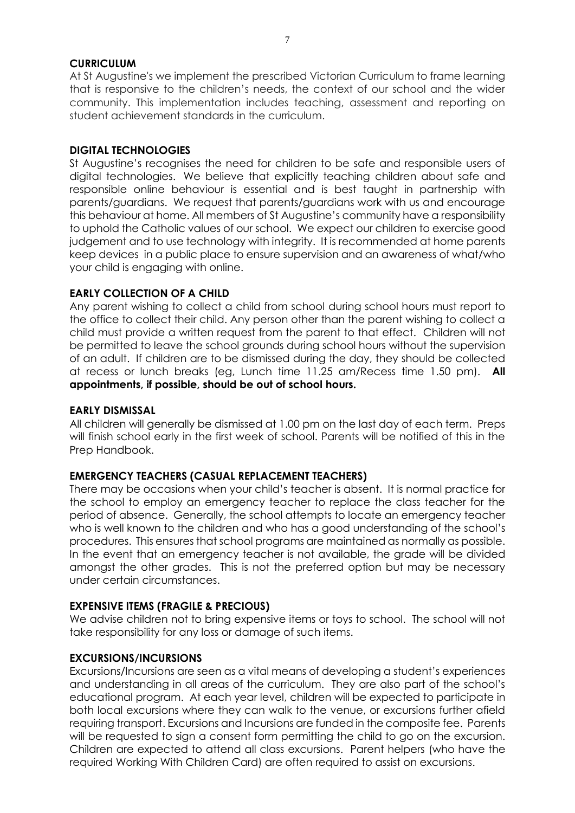#### **CURRICULUM**

At St Augustine's we implement the prescribed Victorian Curriculum to frame learning that is responsive to the children's needs, the context of our school and the wider community. This implementation includes teaching, assessment and reporting on student achievement standards in the curriculum.

#### **DIGITAL TECHNOLOGIES**

St Augustine's recognises the need for children to be safe and responsible users of digital technologies. We believe that explicitly teaching children about safe and responsible online behaviour is essential and is best taught in partnership with parents/guardians. We request that parents/guardians work with us and encourage this behaviour at home. All members of St Augustine's community have a responsibility to uphold the Catholic values of our school. We expect our children to exercise good judgement and to use technology with integrity. It is recommended at home parents keep devices in a public place to ensure supervision and an awareness of what/who your child is engaging with online.

#### **EARLY COLLECTION OF A CHILD**

Any parent wishing to collect a child from school during school hours must report to the office to collect their child. Any person other than the parent wishing to collect a child must provide a written request from the parent to that effect. Children will not be permitted to leave the school grounds during school hours without the supervision of an adult. If children are to be dismissed during the day, they should be collected at recess or lunch breaks (eg, Lunch time 11.25 am/Recess time 1.50 pm). **All appointments, if possible, should be out of school hours.**

#### **EARLY DISMISSAL**

All children will generally be dismissed at 1.00 pm on the last day of each term. Preps will finish school early in the first week of school. Parents will be notified of this in the Prep Handbook.

#### **EMERGENCY TEACHERS (CASUAL REPLACEMENT TEACHERS)**

There may be occasions when your child's teacher is absent. It is normal practice for the school to employ an emergency teacher to replace the class teacher for the period of absence. Generally, the school attempts to locate an emergency teacher who is well known to the children and who has a good understanding of the school's procedures. This ensures that school programs are maintained as normally as possible. In the event that an emergency teacher is not available, the grade will be divided amongst the other grades. This is not the preferred option but may be necessary under certain circumstances.

#### **EXPENSIVE ITEMS (FRAGILE & PRECIOUS)**

We advise children not to bring expensive items or toys to school. The school will not take responsibility for any loss or damage of such items.

#### **EXCURSIONS/INCURSIONS**

Excursions/Incursions are seen as a vital means of developing a student's experiences and understanding in all areas of the curriculum. They are also part of the school's educational program. At each year level, children will be expected to participate in both local excursions where they can walk to the venue, or excursions further afield requiring transport. Excursions and Incursions are funded in the composite fee. Parents will be requested to sign a consent form permitting the child to go on the excursion. Children are expected to attend all class excursions. Parent helpers (who have the required Working With Children Card) are often required to assist on excursions.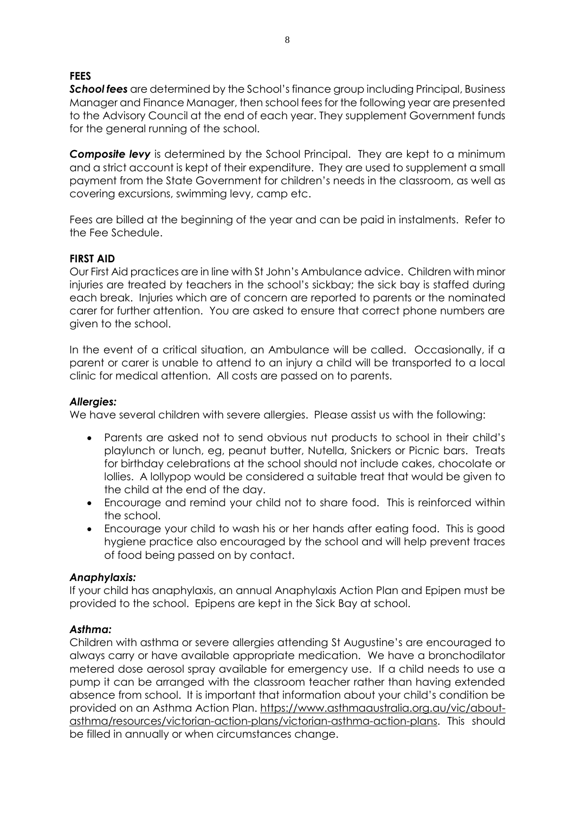# **FEES**

*School fees* are determined by the School's finance group including Principal, Business Manager and Finance Manager, then school fees for the following year are presented to the Advisory Council at the end of each year. They supplement Government funds for the general running of the school.

**Composite levy** is determined by the School Principal. They are kept to a minimum and a strict account is kept of their expenditure. They are used to supplement a small payment from the State Government for children's needs in the classroom, as well as covering excursions, swimming levy, camp etc.

Fees are billed at the beginning of the year and can be paid in instalments. Refer to the Fee Schedule.

#### **FIRST AID**

Our First Aid practices are in line with St John's Ambulance advice. Children with minor injuries are treated by teachers in the school's sickbay; the sick bay is staffed during each break. Injuries which are of concern are reported to parents or the nominated carer for further attention. You are asked to ensure that correct phone numbers are given to the school.

In the event of a critical situation, an Ambulance will be called. Occasionally, if a parent or carer is unable to attend to an injury a child will be transported to a local clinic for medical attention. All costs are passed on to parents.

#### *Allergies:*

We have several children with severe allergies. Please assist us with the following:

- Parents are asked not to send obvious nut products to school in their child's playlunch or lunch, eg, peanut butter, Nutella, Snickers or Picnic bars. Treats for birthday celebrations at the school should not include cakes, chocolate or lollies. A lollypop would be considered a suitable treat that would be given to the child at the end of the day.
- Encourage and remind your child not to share food. This is reinforced within the school.
- Encourage your child to wash his or her hands after eating food. This is good hygiene practice also encouraged by the school and will help prevent traces of food being passed on by contact.

#### *Anaphylaxis:*

If your child has anaphylaxis, an annual Anaphylaxis Action Plan and Epipen must be provided to the school. Epipens are kept in the Sick Bay at school.

#### *Asthma:*

Children with asthma or severe allergies attending St Augustine's are encouraged to always carry or have available appropriate medication. We have a bronchodilator metered dose aerosol spray available for emergency use. If a child needs to use a pump it can be arranged with the classroom teacher rather than having extended absence from school. It is important that information about your child's condition be provided on an Asthma Action Plan. [https://www.asthmaaustralia.org.au/vic/about](https://www.asthmaaustralia.org.au/vic/about-asthma/resources/victorian-action-plans/victorian-asthma-action-plans)[asthma/resources/victorian-action-plans/victorian-asthma-action-plans.](https://www.asthmaaustralia.org.au/vic/about-asthma/resources/victorian-action-plans/victorian-asthma-action-plans) This should be filled in annually or when circumstances change.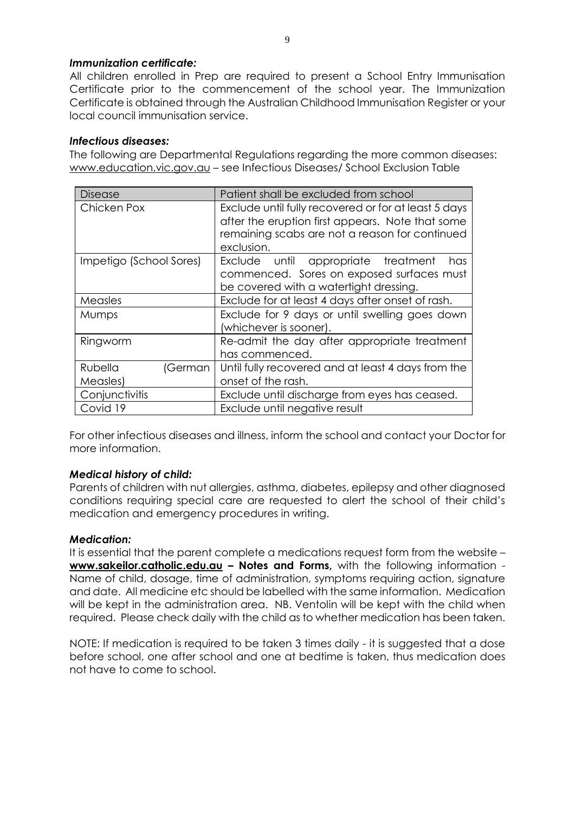# *Immunization certificate:*

All children enrolled in Prep are required to present a School Entry Immunisation Certificate prior to the commencement of the school year. The Immunization Certificate is obtained through the Australian Childhood Immunisation Register or your local council immunisation service.

### *Infectious diseases:*

The following are Departmental Regulations regarding the more common diseases: [www.education.vic.gov.au](http://www.education.vic.gov.au/) - see Infectious Diseases/ School Exclusion Table

| <b>Disease</b>          | Patient shall be excluded from school                |  |
|-------------------------|------------------------------------------------------|--|
| Chicken Pox             | Exclude until fully recovered or for at least 5 days |  |
|                         | after the eruption first appears. Note that some     |  |
|                         | remaining scabs are not a reason for continued       |  |
|                         | exclusion.                                           |  |
| Impetigo (School Sores) | Exclude until appropriate treatment<br>has           |  |
|                         | commenced. Sores on exposed surfaces must            |  |
|                         | be covered with a watertight dressing.               |  |
| Measles                 | Exclude for at least 4 days after onset of rash.     |  |
| <b>Mumps</b>            | Exclude for 9 days or until swelling goes down       |  |
|                         | (whichever is sooner).                               |  |
| Ringworm                | Re-admit the day after appropriate treatment         |  |
|                         | has commenced.                                       |  |
| Rubella<br>(German      | Until fully recovered and at least 4 days from the   |  |
| Measles)                | onset of the rash.                                   |  |
| Conjunctivitis          | Exclude until discharge from eyes has ceased.        |  |
| Covid 19                | Exclude until negative result                        |  |

For other infectious diseases and illness, inform the school and contact your Doctor for more information.

#### *Medical history of child:*

Parents of children with nut allergies, asthma, diabetes, epilepsy and other diagnosed conditions requiring special care are requested to alert the school of their child's medication and emergency procedures in writing.

#### *Medication:*

It is essential that the parent complete a medications request form from the website – **[www.sakeilor.catholic.edu.au](http://www.sakeilor.catholic.edu.au/) – Notes and Forms,** with the following information - Name of child, dosage, time of administration, symptoms requiring action, signature and date. All medicine etc should be labelled with the same information. Medication will be kept in the administration area. NB. Ventolin will be kept with the child when required. Please check daily with the child as to whether medication has been taken.

NOTE: If medication is required to be taken 3 times daily - it is suggested that a dose before school, one after school and one at bedtime is taken, thus medication does not have to come to school.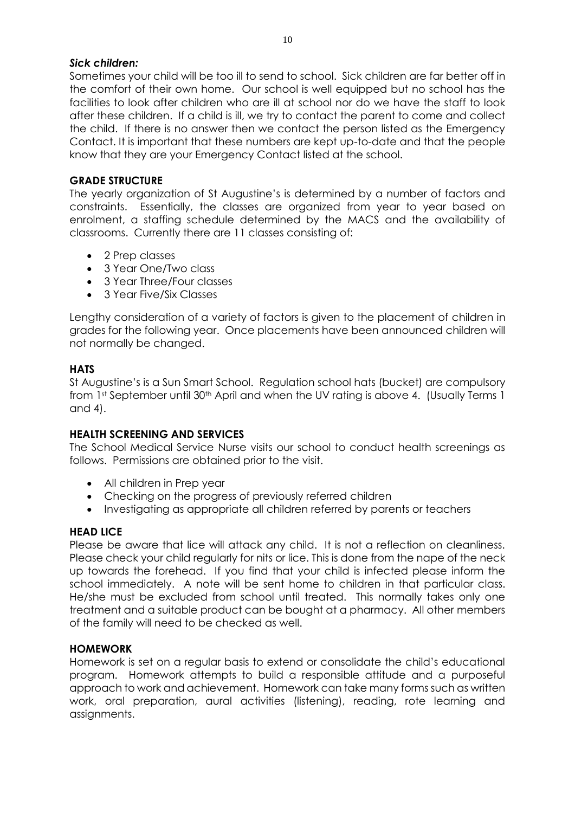# *Sick children:*

Sometimes your child will be too ill to send to school. Sick children are far better off in the comfort of their own home. Our school is well equipped but no school has the facilities to look after children who are ill at school nor do we have the staff to look after these children. If a child is ill, we try to contact the parent to come and collect the child. If there is no answer then we contact the person listed as the Emergency Contact. It is important that these numbers are kept up-to-date and that the people know that they are your Emergency Contact listed at the school.

# **GRADE STRUCTURE**

The yearly organization of St Augustine's is determined by a number of factors and constraints. Essentially, the classes are organized from year to year based on enrolment, a staffing schedule determined by the MACS and the availability of classrooms. Currently there are 11 classes consisting of:

- 2 Prep classes
- 3 Year One/Two class
- 3 Year Three/Four classes
- 3 Year Five/Six Classes

Lengthy consideration of a variety of factors is given to the placement of children in grades for the following year. Once placements have been announced children will not normally be changed.

# **HATS**

St Augustine's is a Sun Smart School. Regulation school hats (bucket) are compulsory from 1st September until 30<sup>th</sup> April and when the UV rating is above 4. (Usually Terms 1 and 4).

#### **HEALTH SCREENING AND SERVICES**

The School Medical Service Nurse visits our school to conduct health screenings as follows. Permissions are obtained prior to the visit.

- All children in Prep year
- Checking on the progress of previously referred children
- Investigating as appropriate all children referred by parents or teachers

#### **HEAD LICE**

Please be aware that lice will attack any child. It is not a reflection on cleanliness. Please check your child regularly for nits or lice. This is done from the nape of the neck up towards the forehead. If you find that your child is infected please inform the school immediately. A note will be sent home to children in that particular class. He/she must be excluded from school until treated. This normally takes only one treatment and a suitable product can be bought at a pharmacy. All other members of the family will need to be checked as well.

#### **HOMEWORK**

Homework is set on a regular basis to extend or consolidate the child's educational program. Homework attempts to build a responsible attitude and a purposeful approach to work and achievement. Homework can take many forms such as written work, oral preparation, aural activities (listening), reading, rote learning and assignments.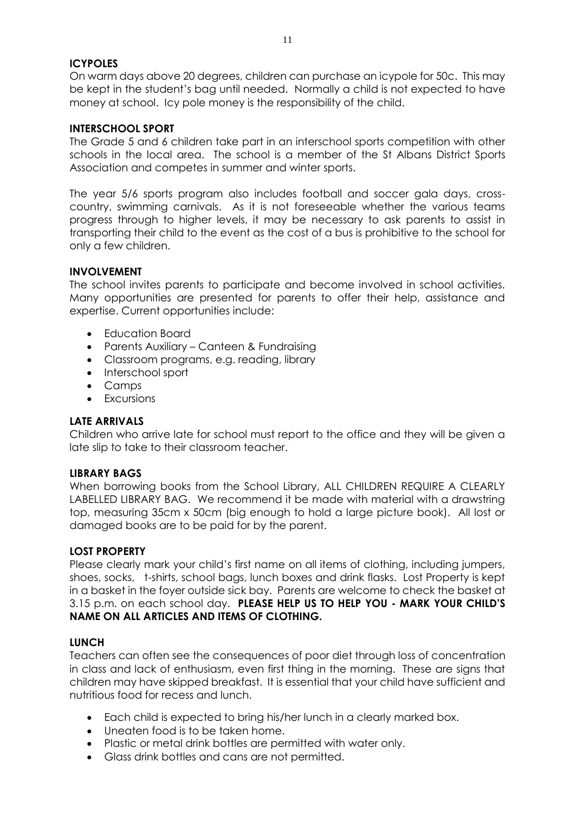# **ICYPOLES**

On warm days above 20 degrees, children can purchase an icypole for 50c. This may be kept in the student's bag until needed. Normally a child is not expected to have money at school. Icy pole money is the responsibility of the child.

#### **INTERSCHOOL SPORT**

The Grade 5 and 6 children take part in an interschool sports competition with other schools in the local area. The school is a member of the St Albans District Sports Association and competes in summer and winter sports.

The year 5/6 sports program also includes football and soccer gala days, crosscountry, swimming carnivals. As it is not foreseeable whether the various teams progress through to higher levels, it may be necessary to ask parents to assist in transporting their child to the event as the cost of a bus is prohibitive to the school for only a few children.

# **INVOLVEMENT**

The school invites parents to participate and become involved in school activities. Many opportunities are presented for parents to offer their help, assistance and expertise. Current opportunities include:

- Education Board
- Parents Auxiliary Canteen & Fundraising
- Classroom programs, e.g. reading, library
- Interschool sport
- Camps
- Excursions

#### **LATE ARRIVALS**

Children who arrive late for school must report to the office and they will be given a late slip to take to their classroom teacher.

#### **LIBRARY BAGS**

When borrowing books from the School Library, ALL CHILDREN REQUIRE A CLEARLY LABELLED LIBRARY BAG. We recommend it be made with material with a drawstring top, measuring 35cm x 50cm (big enough to hold a large picture book). All lost or damaged books are to be paid for by the parent.

#### **LOST PROPERTY**

Please clearly mark your child's first name on all items of clothing, including jumpers, shoes, socks, t-shirts, school bags, lunch boxes and drink flasks. Lost Property is kept in a basket in the foyer outside sick bay. Parents are welcome to check the basket at 3.15 p.m. on each school day. **PLEASE HELP US TO HELP YOU - MARK YOUR CHILD'S NAME ON ALL ARTICLES AND ITEMS OF CLOTHING.**

#### **LUNCH**

Teachers can often see the consequences of poor diet through loss of concentration in class and lack of enthusiasm, even first thing in the morning. These are signs that children may have skipped breakfast. It is essential that your child have sufficient and nutritious food for recess and lunch.

- Each child is expected to bring his/her lunch in a clearly marked box.
- Uneaten food is to be taken home.
- Plastic or metal drink bottles are permitted with water only.
- Glass drink bottles and cans are not permitted.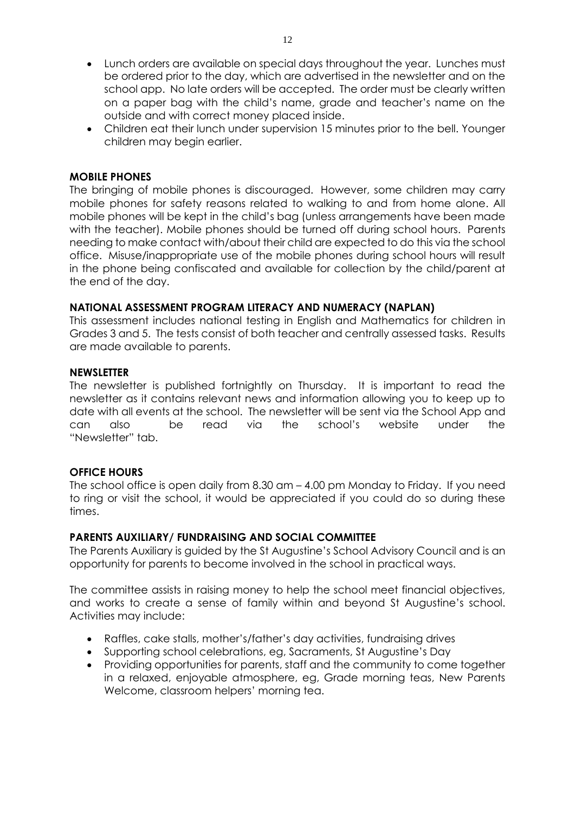- Lunch orders are available on special days throughout the year. Lunches must be ordered prior to the day, which are advertised in the newsletter and on the school app. No late orders will be accepted. The order must be clearly written on a paper bag with the child's name, grade and teacher's name on the outside and with correct money placed inside.
- Children eat their lunch under supervision 15 minutes prior to the bell. Younger children may begin earlier.

# **MOBILE PHONES**

The bringing of mobile phones is discouraged. However, some children may carry mobile phones for safety reasons related to walking to and from home alone. All mobile phones will be kept in the child's bag (unless arrangements have been made with the teacher). Mobile phones should be turned off during school hours. Parents needing to make contact with/about their child are expected to do this via the school office. Misuse/inappropriate use of the mobile phones during school hours will result in the phone being confiscated and available for collection by the child/parent at the end of the day.

#### **NATIONAL ASSESSMENT PROGRAM LITERACY AND NUMERACY (NAPLAN)**

This assessment includes national testing in English and Mathematics for children in Grades 3 and 5. The tests consist of both teacher and centrally assessed tasks. Results are made available to parents.

#### **NEWSLETTER**

The newsletter is published fortnightly on Thursday. It is important to read the newsletter as it contains relevant news and information allowing you to keep up to date with all events at the school. The newsletter will be sent via the School App and can also be read via the school's website under the "Newsletter" tab.

# **OFFICE HOURS**

The school office is open daily from 8.30 am – 4.00 pm Monday to Friday. If you need to ring or visit the school, it would be appreciated if you could do so during these times.

#### **PARENTS AUXILIARY/ FUNDRAISING AND SOCIAL COMMITTEE**

The Parents Auxiliary is guided by the St Augustine's School Advisory Council and is an opportunity for parents to become involved in the school in practical ways.

The committee assists in raising money to help the school meet financial objectives, and works to create a sense of family within and beyond St Augustine's school. Activities may include:

- Raffles, cake stalls, mother's/father's day activities, fundraising drives
- Supporting school celebrations, eg, Sacraments, St Augustine's Day
- Providing opportunities for parents, staff and the community to come together in a relaxed, enjoyable atmosphere, eg, Grade morning teas, New Parents Welcome, classroom helpers' morning tea.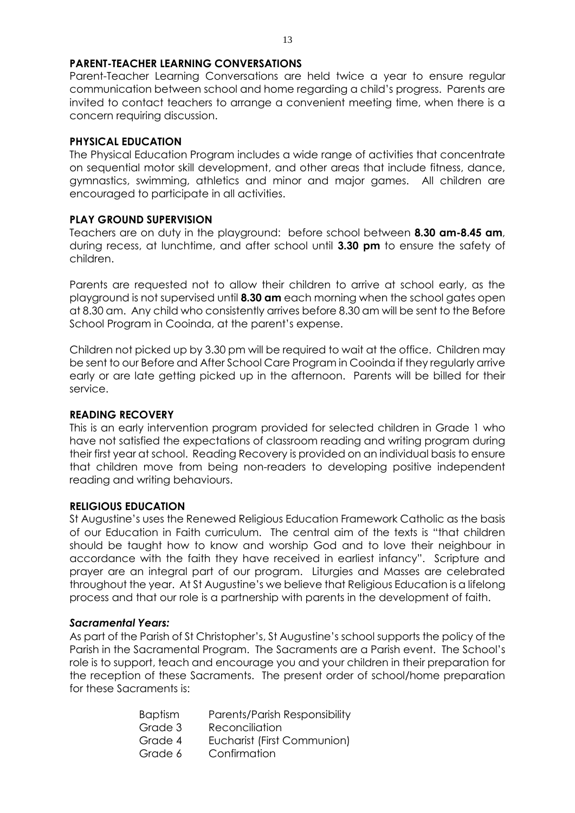# **PARENT-TEACHER LEARNING CONVERSATIONS**

Parent-Teacher Learning Conversations are held twice a year to ensure regular communication between school and home regarding a child's progress. Parents are invited to contact teachers to arrange a convenient meeting time, when there is a concern requiring discussion.

### **PHYSICAL EDUCATION**

The Physical Education Program includes a wide range of activities that concentrate on sequential motor skill development, and other areas that include fitness, dance, gymnastics, swimming, athletics and minor and major games. All children are encouraged to participate in all activities.

# **PLAY GROUND SUPERVISION**

Teachers are on duty in the playground: before school between **8.30 am-8.45 am**, during recess, at lunchtime, and after school until **3.30 pm** to ensure the safety of children.

Parents are requested not to allow their children to arrive at school early, as the playground is not supervised until **8.30 am** each morning when the school gates open at 8.30 am. Any child who consistently arrives before 8.30 am will be sent to the Before School Program in Cooinda, at the parent's expense.

Children not picked up by 3.30 pm will be required to wait at the office. Children may be sent to our Before and After School Care Program in Cooinda if they regularly arrive early or are late getting picked up in the afternoon. Parents will be billed for their service.

#### **READING RECOVERY**

This is an early intervention program provided for selected children in Grade 1 who have not satisfied the expectations of classroom reading and writing program during their first year at school. Reading Recovery is provided on an individual basis to ensure that children move from being non-readers to developing positive independent reading and writing behaviours.

#### **RELIGIOUS EDUCATION**

St Augustine's uses the Renewed Religious Education Framework Catholic as the basis of our Education in Faith curriculum. The central aim of the texts is "that children should be taught how to know and worship God and to love their neighbour in accordance with the faith they have received in earliest infancy". Scripture and prayer are an integral part of our program. Liturgies and Masses are celebrated throughout the year. At St Augustine's we believe that Religious Education is a lifelong process and that our role is a partnership with parents in the development of faith.

#### *Sacramental Years:*

As part of the Parish of St Christopher's, St Augustine's school supports the policy of the Parish in the Sacramental Program. The Sacraments are a Parish event. The School's role is to support, teach and encourage you and your children in their preparation for the reception of these Sacraments. The present order of school/home preparation for these Sacraments is:

| <b>Baptism</b> | Parents/Parish Responsibility |
|----------------|-------------------------------|
| Grade 3        | Reconciliation                |
| Grade 4        | Eucharist (First Communion)   |
| Grade 6        | Confirmation                  |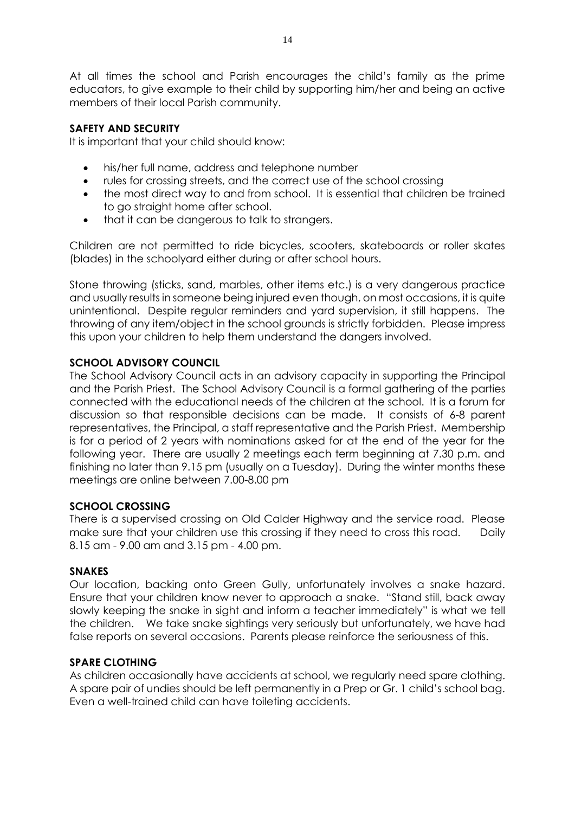At all times the school and Parish encourages the child's family as the prime educators, to give example to their child by supporting him/her and being an active members of their local Parish community.

# **SAFETY AND SECURITY**

It is important that your child should know:

- his/her full name, address and telephone number
- rules for crossing streets, and the correct use of the school crossing
- the most direct way to and from school. It is essential that children be trained to go straight home after school.
- that it can be dangerous to talk to strangers.

Children are not permitted to ride bicycles, scooters, skateboards or roller skates (blades) in the schoolyard either during or after school hours.

Stone throwing (sticks, sand, marbles, other items etc.) is a very dangerous practice and usually results in someone being injured even though, on most occasions, it is quite unintentional. Despite regular reminders and yard supervision, it still happens. The throwing of any item/object in the school grounds is strictly forbidden. Please impress this upon your children to help them understand the dangers involved.

# **SCHOOL ADVISORY COUNCIL**

The School Advisory Council acts in an advisory capacity in supporting the Principal and the Parish Priest. The School Advisory Council is a formal gathering of the parties connected with the educational needs of the children at the school. It is a forum for discussion so that responsible decisions can be made. It consists of 6-8 parent representatives, the Principal, a staff representative and the Parish Priest. Membership is for a period of 2 years with nominations asked for at the end of the year for the following year. There are usually 2 meetings each term beginning at 7.30 p.m. and finishing no later than 9.15 pm (usually on a Tuesday). During the winter months these meetings are online between 7.00-8.00 pm

# **SCHOOL CROSSING**

There is a supervised crossing on Old Calder Highway and the service road. Please make sure that your children use this crossing if they need to cross this road. Daily 8.15 am - 9.00 am and 3.15 pm - 4.00 pm.

# **SNAKES**

Our location, backing onto Green Gully, unfortunately involves a snake hazard. Ensure that your children know never to approach a snake. "Stand still, back away slowly keeping the snake in sight and inform a teacher immediately" is what we tell the children. We take snake sightings very seriously but unfortunately, we have had false reports on several occasions. Parents please reinforce the seriousness of this.

# **SPARE CLOTHING**

As children occasionally have accidents at school, we regularly need spare clothing. A spare pair of undies should be left permanently in a Prep or Gr. 1 child's school bag. Even a well-trained child can have toileting accidents.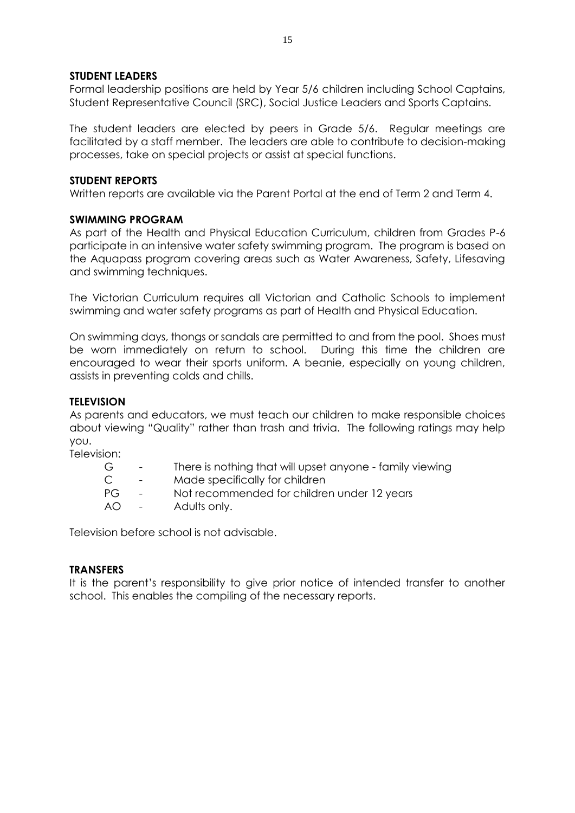#### **STUDENT LEADERS**

Formal leadership positions are held by Year 5/6 children including School Captains, Student Representative Council (SRC), Social Justice Leaders and Sports Captains.

The student leaders are elected by peers in Grade 5/6. Regular meetings are facilitated by a staff member. The leaders are able to contribute to decision-making processes, take on special projects or assist at special functions.

#### **STUDENT REPORTS**

Written reports are available via the Parent Portal at the end of Term 2 and Term 4.

#### **SWIMMING PROGRAM**

As part of the Health and Physical Education Curriculum, children from Grades P-6 participate in an intensive water safety swimming program. The program is based on the Aquapass program covering areas such as Water Awareness, Safety, Lifesaving and swimming techniques.

The Victorian Curriculum requires all Victorian and Catholic Schools to implement swimming and water safety programs as part of Health and Physical Education.

On swimming days, thongs or sandals are permitted to and from the pool. Shoes must be worn immediately on return to school. During this time the children are encouraged to wear their sports uniform. A beanie, especially on young children, assists in preventing colds and chills.

#### **TELEVISION**

As parents and educators, we must teach our children to make responsible choices about viewing "Quality" rather than trash and trivia. The following ratings may help you.

Television:

| G   | $\sim$ $-$               | There is nothing that will upset anyone - family viewing |
|-----|--------------------------|----------------------------------------------------------|
| C.  | $\sim$                   | Made specifically for children                           |
| РG  | <b>Contract Contract</b> | Not recommended for children under 12 years              |
| AO. | $\sim$                   | Adults only.                                             |

Television before school is not advisable.

#### **TRANSFERS**

It is the parent's responsibility to give prior notice of intended transfer to another school. This enables the compiling of the necessary reports.